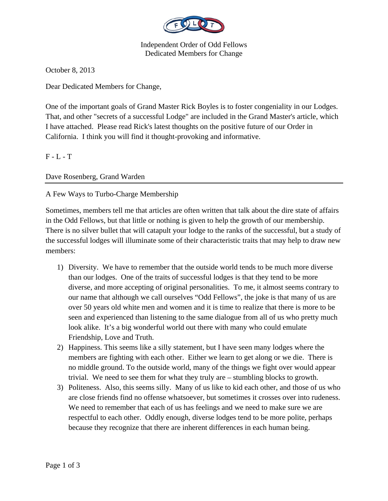

Independent Order of Odd Fellows Dedicated Members for Change

October 8, 2013

Dear Dedicated Members for Change,

One of the important goals of Grand Master Rick Boyles is to foster congeniality in our Lodges. That, and other "secrets of a successful Lodge" are included in the Grand Master's article, which I have attached. Please read Rick's latest thoughts on the positive future of our Order in California. I think you will find it thought-provoking and informative.

 $F - L - T$ 

Dave Rosenberg, Grand Warden

## A Few Ways to Turbo-Charge Membership

Sometimes, members tell me that articles are often written that talk about the dire state of affairs in the Odd Fellows, but that little or nothing is given to help the growth of our membership. There is no silver bullet that will catapult your lodge to the ranks of the successful, but a study of the successful lodges will illuminate some of their characteristic traits that may help to draw new members:

- 1) Diversity. We have to remember that the outside world tends to be much more diverse than our lodges. One of the traits of successful lodges is that they tend to be more diverse, and more accepting of original personalities. To me, it almost seems contrary to our name that although we call ourselves "Odd Fellows", the joke is that many of us are over 50 years old white men and women and it is time to realize that there is more to be seen and experienced than listening to the same dialogue from all of us who pretty much look alike. It's a big wonderful world out there with many who could emulate Friendship, Love and Truth.
- 2) Happiness. This seems like a silly statement, but I have seen many lodges where the members are fighting with each other. Either we learn to get along or we die. There is no middle ground. To the outside world, many of the things we fight over would appear trivial. We need to see them for what they truly are – stumbling blocks to growth.
- 3) Politeness. Also, this seems silly. Many of us like to kid each other, and those of us who are close friends find no offense whatsoever, but sometimes it crosses over into rudeness. We need to remember that each of us has feelings and we need to make sure we are respectful to each other. Oddly enough, diverse lodges tend to be more polite, perhaps because they recognize that there are inherent differences in each human being.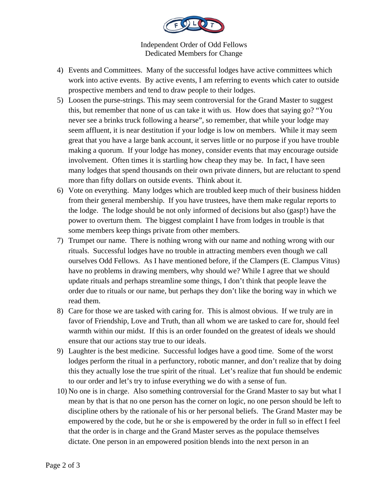

Independent Order of Odd Fellows Dedicated Members for Change

- 4) Events and Committees. Many of the successful lodges have active committees which work into active events. By active events, I am referring to events which cater to outside prospective members and tend to draw people to their lodges.
- 5) Loosen the purse-strings. This may seem controversial for the Grand Master to suggest this, but remember that none of us can take it with us. How does that saying go? "You never see a brinks truck following a hearse", so remember, that while your lodge may seem affluent, it is near destitution if your lodge is low on members. While it may seem great that you have a large bank account, it serves little or no purpose if you have trouble making a quorum. If your lodge has money, consider events that may encourage outside involvement. Often times it is startling how cheap they may be. In fact, I have seen many lodges that spend thousands on their own private dinners, but are reluctant to spend more than fifty dollars on outside events. Think about it.
- 6) Vote on everything. Many lodges which are troubled keep much of their business hidden from their general membership. If you have trustees, have them make regular reports to the lodge. The lodge should be not only informed of decisions but also (gasp!) have the power to overturn them. The biggest complaint I have from lodges in trouble is that some members keep things private from other members.
- 7) Trumpet our name. There is nothing wrong with our name and nothing wrong with our rituals. Successful lodges have no trouble in attracting members even though we call ourselves Odd Fellows. As I have mentioned before, if the Clampers (E. Clampus Vitus) have no problems in drawing members, why should we? While I agree that we should update rituals and perhaps streamline some things, I don't think that people leave the order due to rituals or our name, but perhaps they don't like the boring way in which we read them.
- 8) Care for those we are tasked with caring for. This is almost obvious. If we truly are in favor of Friendship, Love and Truth, than all whom we are tasked to care for, should feel warmth within our midst. If this is an order founded on the greatest of ideals we should ensure that our actions stay true to our ideals.
- 9) Laughter is the best medicine. Successful lodges have a good time. Some of the worst lodges perform the ritual in a perfunctory, robotic manner, and don't realize that by doing this they actually lose the true spirit of the ritual. Let's realize that fun should be endemic to our order and let's try to infuse everything we do with a sense of fun.
- 10) No one is in charge. Also something controversial for the Grand Master to say but what I mean by that is that no one person has the corner on logic, no one person should be left to discipline others by the rationale of his or her personal beliefs. The Grand Master may be empowered by the code, but he or she is empowered by the order in full so in effect I feel that the order is in charge and the Grand Master serves as the populace themselves dictate. One person in an empowered position blends into the next person in an